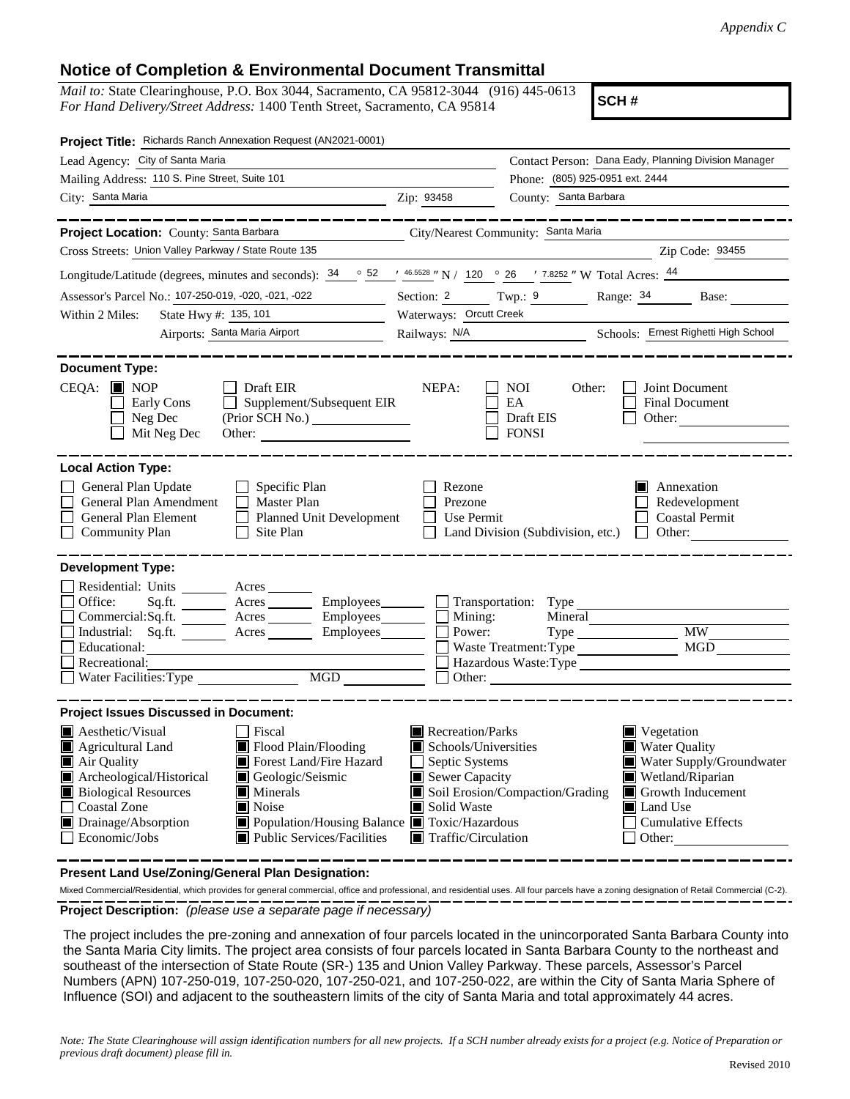## **Notice of Completion & Environmental Document Transmittal**

*Mail to:* State Clearinghouse, P.O. Box 3044, Sacramento, CA 95812-3044 (916) 445-0613 *For Hand Delivery/Street Address:* 1400 Tenth Street, Sacramento, CA 95814

**SCH #**

| Project Title: Richards Ranch Annexation Request (AN2021-0001)                                                                                                                                                                                                                                                                                                                                                                             |                                                                                                                                          |                                                                                                                                                                                                                      |  |
|--------------------------------------------------------------------------------------------------------------------------------------------------------------------------------------------------------------------------------------------------------------------------------------------------------------------------------------------------------------------------------------------------------------------------------------------|------------------------------------------------------------------------------------------------------------------------------------------|----------------------------------------------------------------------------------------------------------------------------------------------------------------------------------------------------------------------|--|
| Lead Agency: City of Santa Maria                                                                                                                                                                                                                                                                                                                                                                                                           |                                                                                                                                          | Contact Person: Dana Eady, Planning Division Manager                                                                                                                                                                 |  |
| Mailing Address: 110 S. Pine Street, Suite 101                                                                                                                                                                                                                                                                                                                                                                                             |                                                                                                                                          | Phone: (805) 925-0951 ext. 2444                                                                                                                                                                                      |  |
| City: Santa Maria<br><u>2ip: 93458</u>                                                                                                                                                                                                                                                                                                                                                                                                     |                                                                                                                                          | County: Santa Barbara                                                                                                                                                                                                |  |
|                                                                                                                                                                                                                                                                                                                                                                                                                                            |                                                                                                                                          |                                                                                                                                                                                                                      |  |
| Project Location: County: Santa Barbara City/Nearest Community: Santa Maria                                                                                                                                                                                                                                                                                                                                                                |                                                                                                                                          |                                                                                                                                                                                                                      |  |
| Cross Streets: Union Valley Parkway / State Route 135                                                                                                                                                                                                                                                                                                                                                                                      |                                                                                                                                          | Zip Code: 93455                                                                                                                                                                                                      |  |
| Longitude/Latitude (degrees, minutes and seconds): $34 \degree$ 52 $\degree$ 46.5528 " N / 120 $\degree$ 26 $\degree$ 7.8252 " W Total Acres: $44 \degree$                                                                                                                                                                                                                                                                                 |                                                                                                                                          |                                                                                                                                                                                                                      |  |
| Assessor's Parcel No.: 107-250-019, -020, -021, -022                                                                                                                                                                                                                                                                                                                                                                                       |                                                                                                                                          | Section: 2 Twp.: 9 Range: 34 Base:                                                                                                                                                                                   |  |
| State Hwy #: 135, 101<br>Within 2 Miles:                                                                                                                                                                                                                                                                                                                                                                                                   | Waterways: Orcutt Creek                                                                                                                  |                                                                                                                                                                                                                      |  |
| Airports: Santa Maria Airport                                                                                                                                                                                                                                                                                                                                                                                                              |                                                                                                                                          | Railways: N/A Schools: Ernest Righetti High School                                                                                                                                                                   |  |
|                                                                                                                                                                                                                                                                                                                                                                                                                                            |                                                                                                                                          |                                                                                                                                                                                                                      |  |
| <b>Document Type:</b><br>$CEOA:$ $\blacksquare$ NOP<br>Draft EIR<br>Early Cons<br>$\Box$ Supplement/Subsequent EIR<br>$\Box$ Neg Dec<br>(Prior SCH No.)<br>Mit Neg Dec                                                                                                                                                                                                                                                                     | NEPA:                                                                                                                                    | Joint Document<br>NOI.<br>Other:<br>EA<br><b>Final Document</b><br>Draft EIS<br>Other:<br><b>FONSI</b>                                                                                                               |  |
| <b>Local Action Type:</b>                                                                                                                                                                                                                                                                                                                                                                                                                  |                                                                                                                                          |                                                                                                                                                                                                                      |  |
| $\Box$ Specific Plan<br>General Plan Update<br>General Plan Amendment<br>$\Box$ Master Plan<br>General Plan Element<br>Planned Unit Development<br>$\Box$ Site Plan<br><b>Community Plan</b>                                                                                                                                                                                                                                               | Rezone<br>Prezone<br>$\Box$ Use Permit                                                                                                   | Annexation<br>n<br>Redevelopment<br>Coastal Permit<br>$\Box$ Land Division (Subdivision, etc.) $\Box$ Other:                                                                                                         |  |
| <b>Development Type:</b>                                                                                                                                                                                                                                                                                                                                                                                                                   |                                                                                                                                          |                                                                                                                                                                                                                      |  |
| Residential: Units _______ Acres _____<br>Office:<br>Sq.ft. ________ Acres _________ Employees________ __ __ Transportation: Type ______________________<br>Commercial: $Sq$ .ft. $\overline{\qquad}$ Acres $\overline{\qquad}$ Employees $\Box$ Mining:<br>Industrial: Sq.ft. Acres Employees<br>Educational:<br>Recreational:<br>Water Facilities: Type<br>MGD NGD                                                                       | Power:                                                                                                                                   | Mineral<br>Waste Treatment: Type MGD<br>Hazardous Waste: Type<br>Other:                                                                                                                                              |  |
| <b>Project Issues Discussed in Document:</b>                                                                                                                                                                                                                                                                                                                                                                                               |                                                                                                                                          |                                                                                                                                                                                                                      |  |
| <b>A</b> esthetic/Visual<br>Fiscal<br>Flood Plain/Flooding<br>$\blacksquare$ Agricultural Land<br>Forest Land/Fire Hazard<br>$\blacksquare$ Air Quality<br>Archeological/Historical<br>Geologic/Seismic<br><b>Biological Resources</b><br>$\blacksquare$ Minerals<br>Coastal Zone<br>Noise<br>$\blacksquare$ Drainage/Absorption<br>■ Population/Housing Balance ■ Toxic/Hazardous<br>$\Box$ Economic/Jobs<br>■ Public Services/Facilities | Recreation/Parks<br>Schools/Universities<br>$\Box$ Septic Systems<br>Sewer Capacity<br>Solid Waste<br>$\blacksquare$ Traffic/Circulation | $\blacksquare$ Vegetation<br>Water Quality<br>Water Supply/Groundwater<br>Wetland/Riparian<br>Soil Erosion/Compaction/Grading<br>$\blacksquare$ Growth Inducement<br>Land Use<br><b>Cumulative Effects</b><br>Other: |  |

**Present Land Use/Zoning/General Plan Designation:**

**Project Description:** *(please use a separate page if necessary)* Mixed Commercial/Residential, which provides for general commercial, office and professional, and residential uses. All four parcels have a zoning designation of Retail Commercial (C-2).

 The project includes the pre-zoning and annexation of four parcels located in the unincorporated Santa Barbara County into the Santa Maria City limits. The project area consists of four parcels located in Santa Barbara County to the northeast and southeast of the intersection of State Route (SR-) 135 and Union Valley Parkway. These parcels, Assessor's Parcel Numbers (APN) 107-250-019, 107-250-020, 107-250-021, and 107-250-022, are within the City of Santa Maria Sphere of Influence (SOI) and adjacent to the southeastern limits of the city of Santa Maria and total approximately 44 acres.

*Note: The State Clearinghouse will assign identification numbers for all new projects. If a SCH number already exists for a project (e.g. Notice of Preparation or previous draft document) please fill in.*